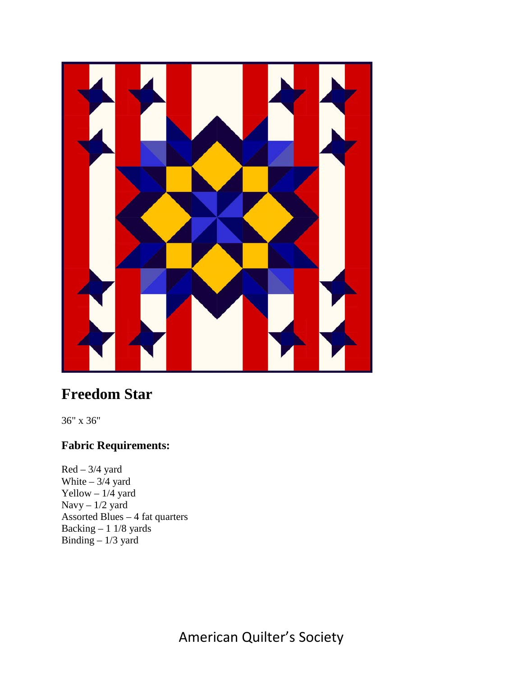

# **Freedom Star**

36" x 36"

## **Fabric Requirements:**

 $Red - 3/4$  yard White  $-3/4$  yard Yellow  $-1/4$  yard Navy – 1/2 yard Assorted Blues – 4 fat quarters Backing – 1 1/8 yards Binding – 1/3 yard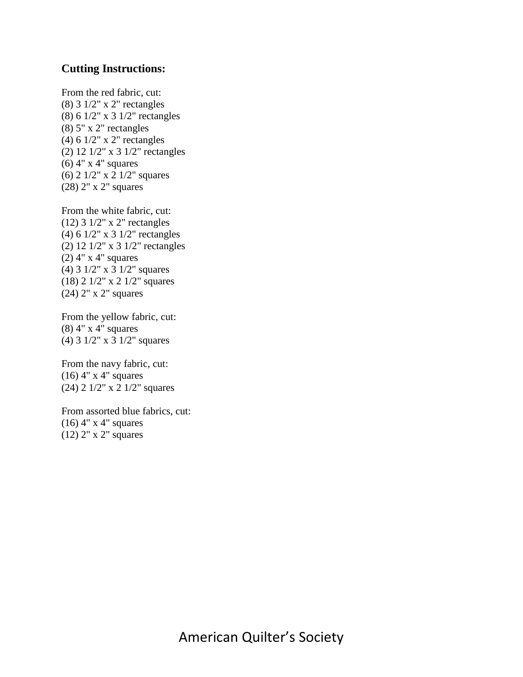### **Cutting Instructions:**

From the red fabric, cut: (8) 3 1/2" x 2" rectangles (8) 6 1/2" x 3 1/2" rectangles (8) 5" x 2" rectangles (4) 6 1/2" x 2" rectangles (2) 12 1/2" x 3 1/2" rectangles (6) 4" x 4" squares (6) 2 1/2" x 2 1/2" squares (28) 2" x 2" squares

From the white fabric, cut: (12) 3 1/2" x 2" rectangles (4) 6 1/2" x 3 1/2" rectangles (2) 12 1/2" x 3 1/2" rectangles (2) 4" x 4" squares (4) 3 1/2" x 3 1/2" squares (18) 2 1/2" x 2 1/2" squares (24) 2" x 2" squares

From the yellow fabric, cut: (8) 4" x 4" squares (4) 3 1/2" x 3 1/2" squares

From the navy fabric, cut: (16) 4" x 4" squares (24) 2 1/2" x 2 1/2" squares

From assorted blue fabrics, cut: (16) 4" x 4" squares (12) 2" x 2" squares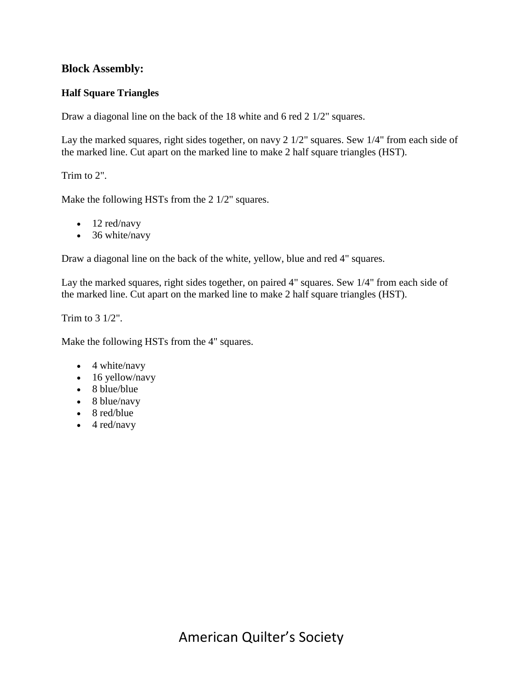## **Block Assembly:**

#### **Half Square Triangles**

Draw a diagonal line on the back of the 18 white and 6 red 2 1/2" squares.

Lay the marked squares, right sides together, on navy 2 1/2" squares. Sew 1/4" from each side of the marked line. Cut apart on the marked line to make 2 half square triangles (HST).

Trim to 2".

Make the following HSTs from the 2 1/2" squares.

- 12 red/navy
- 36 white/navy

Draw a diagonal line on the back of the white, yellow, blue and red 4" squares.

Lay the marked squares, right sides together, on paired 4" squares. Sew 1/4" from each side of the marked line. Cut apart on the marked line to make 2 half square triangles (HST).

Trim to 3 1/2".

Make the following HSTs from the 4" squares.

- 4 white/navy
- 16 yellow/navy
- 8 blue/blue
- 8 blue/navy
- 8 red/blue
- $\bullet$  4 red/navy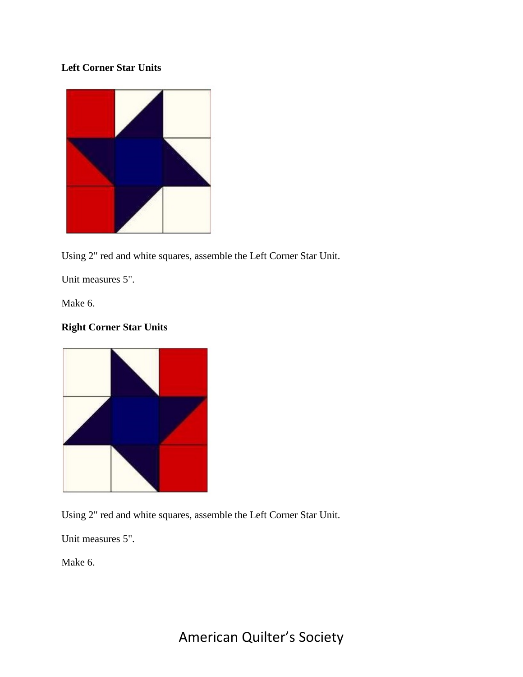## **Left Corner Star Units**



Using 2" red and white squares, assemble the Left Corner Star Unit.

Unit measures 5".

Make 6.

## **Right Corner Star Units**



Using 2" red and white squares, assemble the Left Corner Star Unit.

Unit measures 5".

Make 6.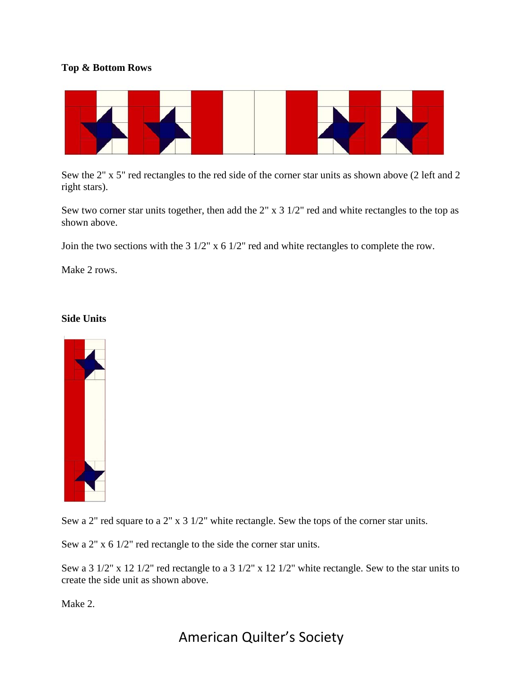#### **Top & Bottom Rows**



Sew the 2" x 5" red rectangles to the red side of the corner star units as shown above (2 left and 2 right stars).

Sew two corner star units together, then add the 2" x 3 1/2" red and white rectangles to the top as shown above.

Join the two sections with the 3 1/2" x 6 1/2" red and white rectangles to complete the row.

Make 2 rows.

#### **Side Units**



Sew a 2" red square to a 2" x 3 1/2" white rectangle. Sew the tops of the corner star units.

Sew a 2" x 6 1/2" red rectangle to the side the corner star units.

Sew a 3 1/2" x 12 1/2" red rectangle to a 3 1/2" x 12 1/2" white rectangle. Sew to the star units to create the side unit as shown above.

Make 2.

## American Quilter's Society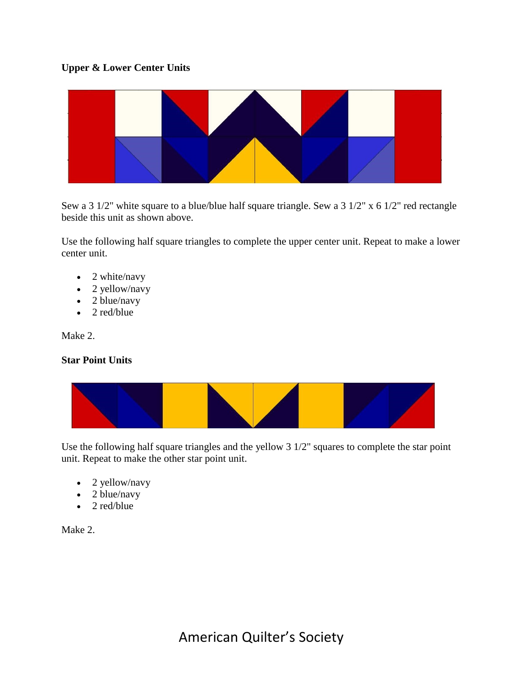#### **Upper & Lower Center Units**



Sew a 3 1/2" white square to a blue/blue half square triangle. Sew a 3 1/2" x 6 1/2" red rectangle beside this unit as shown above.

Use the following half square triangles to complete the upper center unit. Repeat to make a lower center unit.

- 2 white/navy
- 2 yellow/navy
- 2 blue/navy
- 2 red/blue

Make 2.

#### **Star Point Units**



Use the following half square triangles and the yellow 3 1/2" squares to complete the star point unit. Repeat to make the other star point unit.

- 2 yellow/navy
- 2 blue/navy
- 2 red/blue

Make 2.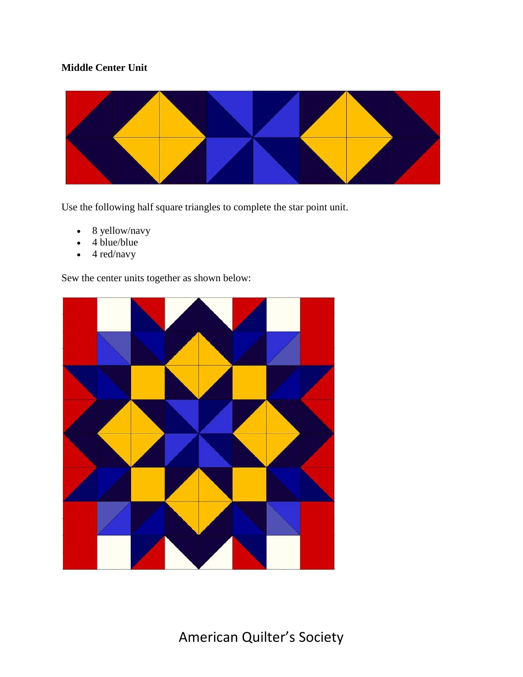## **Middle Center Unit**



Use the following half square triangles to complete the star point unit.

- 8 yellow/navy
- 4 blue/blue
- 4 red/navy

Sew the center units together as shown below: